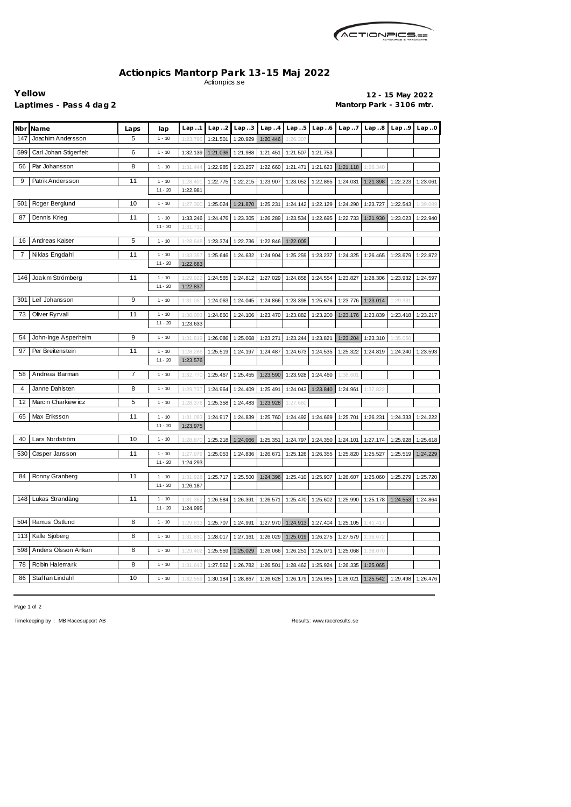

## **Actionpics Mantorp Park 13-15 Maj 2022** Actionpics.se

**Yellow 12 - 15 May 2022** Laptimes - Pass 4 dag 2 **Mantorp Park - 3106 mtr.** 

| Nbr<br>Name                  | Laps           | lap       | Lap.1    | Lap.2    | Lap.3    | Lap.4    | Lap.5    | Lap.6    | Lap. .7  | Lap.8    | Lap.9    | Lap.0    |
|------------------------------|----------------|-----------|----------|----------|----------|----------|----------|----------|----------|----------|----------|----------|
| 147<br>Joachim Andersson     | 5              | $1 - 10$  | 1:23.79  | 1:21.501 | 1:20.929 | 1:20.446 | 1:26.307 |          |          |          |          |          |
| Carl Johan Stigerfelt<br>599 | 6              | $1 - 10$  | 1:32.139 | 1:21.036 | 1:21.988 | 1:21.451 | 1:21.507 | 1:21.753 |          |          |          |          |
| 56<br>Pär Johansson          | 8              | $1 - 10$  | 1:31.444 | 1:22.985 | 1:23.257 | 1:22.660 | 1:21.471 | 1:21.623 | 1:21.118 | 1:26.340 |          |          |
| 9<br>Patrik Andersson        | 11             | $1 - 10$  | 1:28.40  | 1:22.775 | 1:22.215 | 1:23.907 | 1:23.052 | 1:22.865 | 1:24.031 | 1:21.398 | 1:22.223 | 1:23.061 |
|                              |                | $11 - 20$ | 1:22.981 |          |          |          |          |          |          |          |          |          |
| Roger Berglund<br>501        | 10             | $1 - 10$  | 1:27.300 | 1:25.024 | 1:21.870 | 1:25.231 | 1:24.142 | 1:22.129 | 1:24.290 | 1:23.727 | 1:22.543 | 1:39.089 |
| 87<br>Dennis Krieg           | 11             | $1 - 10$  | 1:33.246 | 1:24.476 | 1:23.305 | 1:26.289 | 1:23.534 | 1:22.695 | 1:22.733 | 1:21.930 | 1:23.023 | 1:22.940 |
|                              |                | $11 - 20$ | 1:31.710 |          |          |          |          |          |          |          |          |          |
| Andreas Kaiser<br>16         | 5              | $1 - 10$  | 1:28.648 | 1:23.374 | 1:22.736 | 1:22.846 | 1:22.005 |          |          |          |          |          |
| Niklas Engdahl<br>7          | 11             | $1 - 10$  | 1:33.35  | 1:25.646 | 1:24.632 | 1:24.904 | 1:25.259 | 1:23.237 | 1:24.325 | 1:26.465 | 1:23.679 | 1:22.872 |
|                              |                | $11 - 20$ | 1:22.683 |          |          |          |          |          |          |          |          |          |
| Joakim Strömberg<br>146      | 11             | $1 - 10$  | 1:29.    | 1:24.565 | 1:24.812 | 1:27.029 | 1:24.858 | 1:24.554 | 1:23.827 | 1:28.306 | 1:23.932 | 1:24.597 |
|                              |                | $11 - 20$ | 1:22.837 |          |          |          |          |          |          |          |          |          |
| Leif Johansson<br>301        | 9              | $1 - 10$  | 1:31.05  | 1:24.063 | 1:24.045 | 1:24.866 | 1:23.398 | 1:25.676 | 1:23.776 | 1:23.014 | 1:29.331 |          |
| Oliver Ryrvall<br>73         | 11             | $1 - 10$  | 1:30.00  | 1:24.860 | 1:24.106 | 1:23.470 | 1:23.882 | 1:23.200 | 1:23.176 | 1:23.839 | 1:23.418 | 1:23.217 |
|                              |                | $11 - 20$ | 1:23.633 |          |          |          |          |          |          |          |          |          |
| 54<br>John-Inge Asperheim    | 9              | $1 - 10$  | 1:31.819 | 1:26.086 | 1:25.068 | 1:23.271 | 1:23.244 | 1:23.821 | 1:23.204 | 1:23.310 | 1:35.050 |          |
| 97<br>Per Breitenstein       | 11             | $1 - 10$  | 1:28.28  | 1:25.519 | 1:24.197 | 1:24.487 | 1:24.673 | 1:24.535 | 1:25.322 | 1:24.819 | 1:24.240 | 1:23.593 |
|                              |                | $11 - 20$ | 1:23.576 |          |          |          |          |          |          |          |          |          |
| Andreas Barman<br>58         | $\overline{7}$ | $1 - 10$  | 1:32.77  | 1:25.467 | 1:25.455 | 1:23.590 | 1:23.928 | 1:24.460 | 1:38.60  |          |          |          |
| Janne Dahlsten<br>4          | 8              | $1 - 10$  | 1:29.73  | 1:24.964 | 1:24.409 | 1:25.491 | 1:24.043 | 1:23.840 | 1:24.961 | 1:37.822 |          |          |
| Marcin Charkiew icz<br>12    | 5              | $1 - 10$  | 1:28.376 | 1:25.358 | 1:24.483 | 1:23.928 | 1:27.660 |          |          |          |          |          |
| 65<br>Max Eriksson           | 11             | $1 - 10$  | 1:31.09  | 1:24.917 | 1:24.839 | 1:25.760 | 1:24.492 | 1:24.669 | 1:25.701 | 1:26.231 | 1:24.333 | 1:24.222 |
|                              |                | $11 - 20$ | 1:23.975 |          |          |          |          |          |          |          |          |          |
| 40<br>Lars Nordström         | 10             | $1 - 10$  | 1:28.87  | 1:25.218 | 1:24.066 | 1:25.351 | 1:24.797 | 1:24.350 | 1:24.101 | 1:27.174 | 1:25.928 | 1:25.618 |
| 530<br>Casper Jansson        | 11             | $1 - 10$  | 1:27.979 | 1:25.053 | 1:24.836 | 1:26.671 | 1:25.126 | 1:26.355 | 1:25.820 | 1:25.527 | 1:25.519 | 1:24.229 |
|                              |                | $11 - 20$ | 1:24.293 |          |          |          |          |          |          |          |          |          |
| 84<br>Ronny Granberg         | 11             | $1 - 10$  | 1:31.92  | 1:25.717 | 1:25.500 | 1:24.396 | 1:25.410 | 1:25.907 | 1:26.607 | 1:25.060 | 1:25.279 | 1:25.720 |
|                              |                | $11 - 20$ | 1:26.187 |          |          |          |          |          |          |          |          |          |
| 148<br>Lukas Strandäng       | 11             | $1 - 10$  | 1:31.362 | 1:26.584 | 1:26.391 | 1:26.571 | 1:25.470 | 1:25.602 | 1:25.990 | 1:25.178 | 1:24.553 | 1:24.864 |
|                              |                | $11 - 20$ | 1:24.995 |          |          |          |          |          |          |          |          |          |
| Ramus Östlund<br>504         | 8              | $1 - 10$  | 1:29.813 | 1:25.707 | 1:24.991 | 1:27.970 | 1:24.913 | 1:27.404 | 1:25.105 | 1:41.417 |          |          |
| 113<br>Kalle Sjöberg         | 8              | $1 - 10$  | 1:31.830 | 1:28.017 | 1:27.161 | 1:26.029 | 1:25.019 | 1:26.275 | 1:27.579 | 1:36.672 |          |          |
| 598<br>Anders Olsson Ankan   | 8              | $1 - 10$  | 1:29.402 | 1:25.559 | 1:25.029 | 1:26.066 | 1:26.251 | 1:25.071 | 1:25.068 | 1:38.070 |          |          |
| Robin Halemark<br>78         | 8              | $1 - 10$  | 1:31.643 | 1:27.562 | 1:26.782 | 1:26.501 | 1:28.462 | 1:25.924 | 1:26.335 | 1:25.065 |          |          |
| Staffan Lindahl<br>86        | 10             | $1 - 10$  | 1:32.559 | 1:30.184 | 1:28.867 | 1:26.628 | 1:26.179 | 1:26.985 | 1:26.021 | 1:25.542 | 1:29.498 | 1:26.476 |

Page 1 of 2

Timekeeping by : MB Racesupport AB Results: <www.raceresults.se>